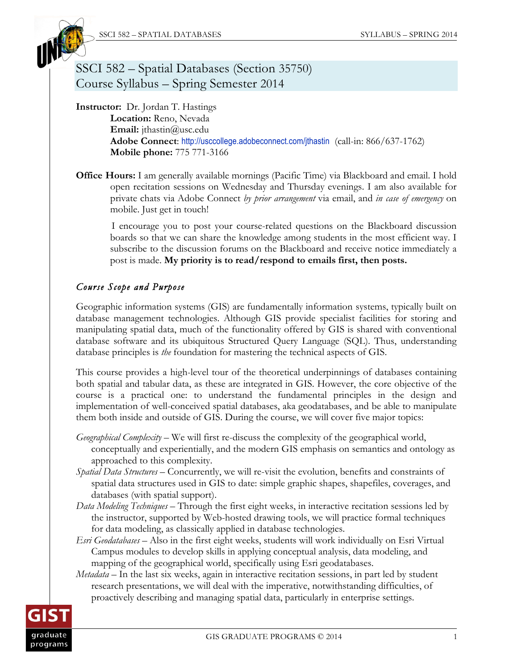

# SSCI 582 – Spatial Databases (Section 35750) Course Syllabus – Spring Semester 2014

**Instructor:** Dr. Jordan T. Hastings **Location:** Reno, Nevada **Email:** jthastin@usc.edu **Adobe Connect**: http://usccollege.adobeconnect.com/jthastin (call-in: 866/637-1762) **Mobile phone:** 775 771-3166

**Office Hours:** I am generally available mornings (Pacific Time) via Blackboard and email. I hold open recitation sessions on Wednesday and Thursday evenings. I am also available for private chats via Adobe Connect *by prior arrangement* via email, and *in case of emergency* on mobile. Just get in touch!

I encourage you to post your course-related questions on the Blackboard discussion boards so that we can share the knowledge among students in the most efficient way. I subscribe to the discussion forums on the Blackboard and receive notice immediately a post is made. **My priority is to read/respond to emails first, then posts.**

## *Course Scope and Purpose*

Geographic information systems (GIS) are fundamentally information systems, typically built on database management technologies. Although GIS provide specialist facilities for storing and manipulating spatial data, much of the functionality offered by GIS is shared with conventional database software and its ubiquitous Structured Query Language (SQL). Thus, understanding database principles is *the* foundation for mastering the technical aspects of GIS.

This course provides a high-level tour of the theoretical underpinnings of databases containing both spatial and tabular data, as these are integrated in GIS. However, the core objective of the course is a practical one: to understand the fundamental principles in the design and implementation of well-conceived spatial databases, aka geodatabases, and be able to manipulate them both inside and outside of GIS. During the course, we will cover five major topics:

*Geographical Complexity* – We will first re-discuss the complexity of the geographical world, conceptually and experientially, and the modern GIS emphasis on semantics and ontology as approached to this complexity.

- *Spatial Data Structures* Concurrently, we will re-visit the evolution, benefits and constraints of spatial data structures used in GIS to date: simple graphic shapes, shapefiles, coverages, and databases (with spatial support).
- *Data Modeling Techniques* Through the first eight weeks, in interactive recitation sessions led by the instructor, supported by Web-hosted drawing tools, we will practice formal techniques for data modeling, as classically applied in database technologies.
- *Esri Geodatabases* Also in the first eight weeks, students will work individually on Esri Virtual Campus modules to develop skills in applying conceptual analysis, data modeling, and mapping of the geographical world, specifically using Esri geodatabases.
- *Metadata* In the last six weeks, again in interactive recitation sessions, in part led by student research presentations, we will deal with the imperative, notwithstanding difficulties, of proactively describing and managing spatial data, particularly in enterprise settings.

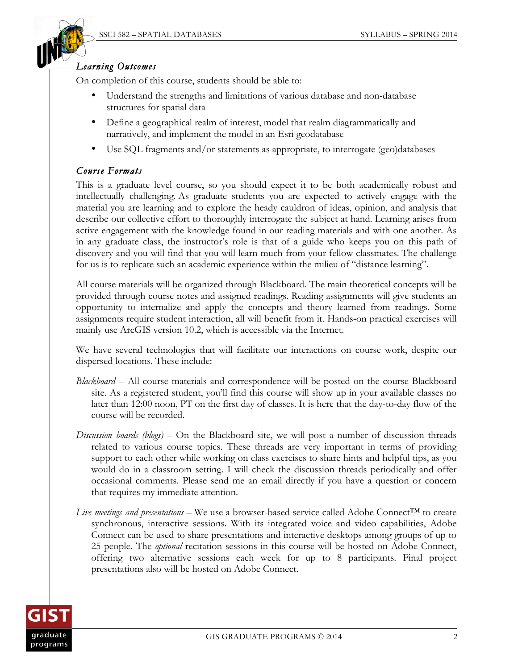

### *Learning Outcomes*

On completion of this course, students should be able to:

- Understand the strengths and limitations of various database and non-database structures for spatial data
- Define a geographical realm of interest, model that realm diagrammatically and narratively, and implement the model in an Esri geodatabase
- Use SQL fragments and/or statements as appropriate, to interrogate (geo)databases

### *Course Formats*

This is a graduate level course, so you should expect it to be both academically robust and intellectually challenging. As graduate students you are expected to actively engage with the material you are learning and to explore the heady cauldron of ideas, opinion, and analysis that describe our collective effort to thoroughly interrogate the subject at hand. Learning arises from active engagement with the knowledge found in our reading materials and with one another. As in any graduate class, the instructor's role is that of a guide who keeps you on this path of discovery and you will find that you will learn much from your fellow classmates. The challenge for us is to replicate such an academic experience within the milieu of "distance learning".

All course materials will be organized through Blackboard. The main theoretical concepts will be provided through course notes and assigned readings. Reading assignments will give students an opportunity to internalize and apply the concepts and theory learned from readings. Some assignments require student interaction, all will benefit from it. Hands-on practical exercises will mainly use ArcGIS version 10.2, which is accessible via the Internet.

We have several technologies that will facilitate our interactions on course work, despite our dispersed locations. These include:

- *Blackboard –* All course materials and correspondence will be posted on the course Blackboard site. As a registered student, you'll find this course will show up in your available classes no later than 12:00 noon, PT on the first day of classes. It is here that the day-to-day flow of the course will be recorded.
- *Discussion boards (blogs)* On the Blackboard site, we will post a number of discussion threads related to various course topics. These threads are very important in terms of providing support to each other while working on class exercises to share hints and helpful tips, as you would do in a classroom setting. I will check the discussion threads periodically and offer occasional comments. Please send me an email directly if you have a question or concern that requires my immediate attention.
- *Live meetings and presentations* We use a browser-based service called Adobe Connect™ to create synchronous, interactive sessions. With its integrated voice and video capabilities, Adobe Connect can be used to share presentations and interactive desktops among groups of up to 25 people. The *optional* recitation sessions in this course will be hosted on Adobe Connect, offering two alternative sessions each week for up to 8 participants. Final project presentations also will be hosted on Adobe Connect.

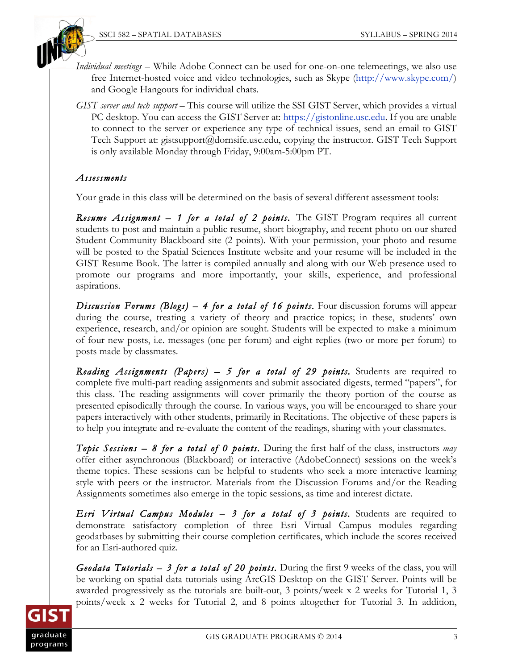



- *Individual meetings –* While Adobe Connect can be used for one-on-one telemeetings, we also use free Internet-hosted voice and video technologies, such as Skype (http://www.skype.com/) and Google Hangouts for individual chats.
- *GIST server and tech support* This course will utilize the SSI GIST Server, which provides a virtual PC desktop. You can access the GIST Server at: https://gistonline.usc.edu. If you are unable to connect to the server or experience any type of technical issues, send an email to GIST Tech Support at: gistsupport@dornsife.usc.edu, copying the instructor. GIST Tech Support is only available Monday through Friday, 9:00am-5:00pm PT.

## *Assessments*

Your grade in this class will be determined on the basis of several different assessment tools:

*Resume Assignment – 1 for a total of 2 points.* The GIST Program requires all current students to post and maintain a public resume, short biography, and recent photo on our shared Student Community Blackboard site (2 points). With your permission, your photo and resume will be posted to the Spatial Sciences Institute website and your resume will be included in the GIST Resume Book. The latter is compiled annually and along with our Web presence used to promote our programs and more importantly, your skills, experience, and professional aspirations.

*Discussion Forums (Blogs) – 4 for a total of 16 points.* Four discussion forums will appear during the course, treating a variety of theory and practice topics; in these, students' own experience, research, and/or opinion are sought. Students will be expected to make a minimum of four new posts, i.e. messages (one per forum) and eight replies (two or more per forum) to posts made by classmates.

*Reading Assignments (Papers) – 5 for a total of 29 points.* Students are required to complete five multi-part reading assignments and submit associated digests, termed "papers", for this class. The reading assignments will cover primarily the theory portion of the course as presented episodically through the course. In various ways, you will be encouraged to share your papers interactively with other students, primarily in Recitations. The objective of these papers is to help you integrate and re-evaluate the content of the readings, sharing with your classmates.

*Topic Sessions – 8 for a total of 0 points.* During the first half of the class, instructors *may* offer either asynchronous (Blackboard) or interactive (AdobeConnect) sessions on the week's theme topics. These sessions can be helpful to students who seek a more interactive learning style with peers or the instructor. Materials from the Discussion Forums and/or the Reading Assignments sometimes also emerge in the topic sessions, as time and interest dictate.

*Esri Virtual Campus Modules – 3 for a total of 3 points.* Students are required to demonstrate satisfactory completion of three Esri Virtual Campus modules regarding geodatbases by submitting their course completion certificates, which include the scores received for an Esri-authored quiz.

*Geodata Tutorials – 3 for a total of 20 points.* During the first 9 weeks of the class, you will be working on spatial data tutorials using ArcGIS Desktop on the GIST Server. Points will be awarded progressively as the tutorials are built-out, 3 points/week x 2 weeks for Tutorial 1, 3 points/week x 2 weeks for Tutorial 2, and 8 points altogether for Tutorial 3. In addition,

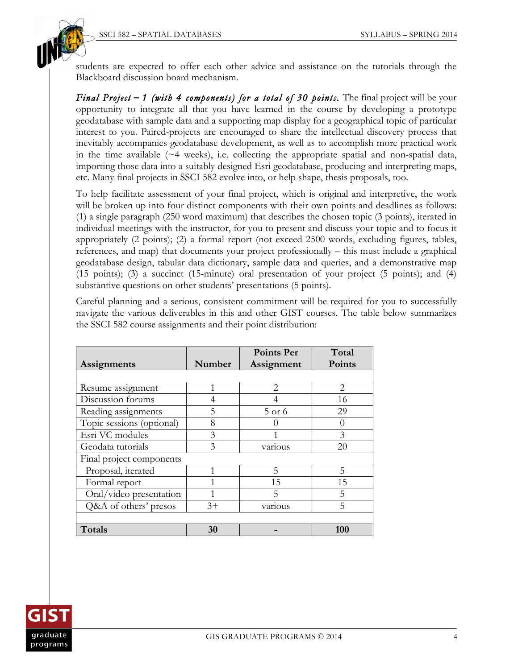

students are expected to offer each other advice and assistance on the tutorials through the Blackboard discussion board mechanism.

*Final Project* **–** *1 (with 4 components) for a total of 30 points.* The final project will be your opportunity to integrate all that you have learned in the course by developing a prototype geodatabase with sample data and a supporting map display for a geographical topic of particular interest to you. Paired-projects are encouraged to share the intellectual discovery process that inevitably accompanies geodatabase development, as well as to accomplish more practical work in the time available  $(\sim 4$  weeks), i.e. collecting the appropriate spatial and non-spatial data, importing those data into a suitably designed Esri geodatabase, producing and interpreting maps, etc. Many final projects in SSCI 582 evolve into, or help shape, thesis proposals, too.

To help facilitate assessment of your final project, which is original and interpretive, the work will be broken up into four distinct components with their own points and deadlines as follows: (1) a single paragraph (250 word maximum) that describes the chosen topic (3 points), iterated in individual meetings with the instructor, for you to present and discuss your topic and to focus it appropriately (2 points); (2) a formal report (not exceed 2500 words, excluding figures, tables, references, and map) that documents your project professionally – this must include a graphical geodatabase design, tabular data dictionary, sample data and queries, and a demonstrative map (15 points); (3) a succinct (15-minute) oral presentation of your project (5 points); and (4) substantive questions on other students' presentations (5 points).

Careful planning and a serious, consistent commitment will be required for you to successfully navigate the various deliverables in this and other GIST courses. The table below summarizes the SSCI 582 course assignments and their point distribution:

|                           |        | <b>Points Per</b> | Total    |  |
|---------------------------|--------|-------------------|----------|--|
| Assignments               | Number | Assignment        | Points   |  |
|                           |        |                   |          |  |
| Resume assignment         | 1      | 2                 | 2        |  |
| Discussion forums         | 4      |                   | 16       |  |
| Reading assignments       | 5      | 5 or 6            | 29       |  |
| Topic sessions (optional) | 8      |                   | $\theta$ |  |
| Esri VC modules           | 3      |                   | 3        |  |
| Geodata tutorials         | 3      | various           | 20       |  |
| Final project components  |        |                   |          |  |
| Proposal, iterated        | 1      | 5                 | 5        |  |
| Formal report             |        | 15                | 15       |  |
| Oral/video presentation   |        | 5                 | 5        |  |
| Q&A of others' presos     | $3+$   | various           | 5        |  |
|                           |        |                   |          |  |
| Totals                    | 30     |                   | 100      |  |

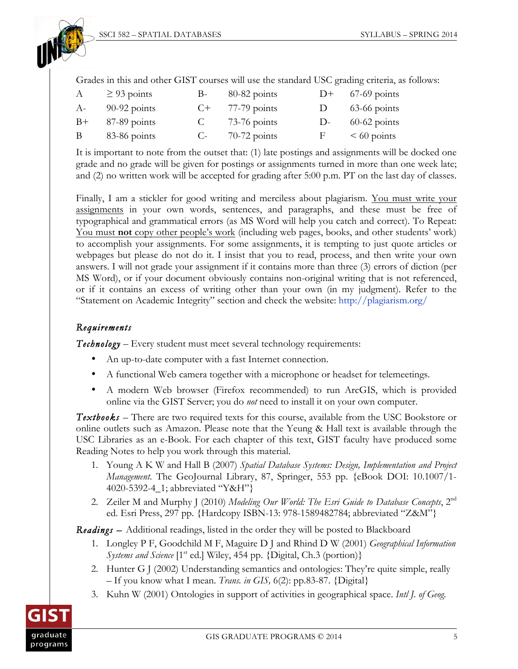

Grades in this and other GIST courses will use the standard USC grading criteria, as follows:

| $\mathbf{A}$ | $\geq$ 93 points  | $B-$ | $80-82$ points    |              | $D+$ 67-69 points |
|--------------|-------------------|------|-------------------|--------------|-------------------|
| $A-$         | $90-92$ points    |      | $C+$ 77-79 points | $\mathbf{D}$ | $63-66$ points    |
|              | $B+$ 87-89 points | C –  | $73-76$ points    | $D-$         | $60-62$ points    |
| $\mathbf{B}$ | 83-86 points      |      | $C-70-72$ points  | $\mathbf{F}$ | $\leq 60$ points  |

It is important to note from the outset that: (1) late postings and assignments will be docked one grade and no grade will be given for postings or assignments turned in more than one week late; and (2) no written work will be accepted for grading after 5:00 p.m. PT on the last day of classes.

Finally, I am a stickler for good writing and merciless about plagiarism. You must write your assignments in your own words, sentences, and paragraphs, and these must be free of typographical and grammatical errors (as MS Word will help you catch and correct). To Repeat: You must **not** copy other people's work (including web pages, books, and other students' work) to accomplish your assignments. For some assignments, it is tempting to just quote articles or webpages but please do not do it. I insist that you to read, process, and then write your own answers. I will not grade your assignment if it contains more than three (3) errors of diction (per MS Word), or if your document obviously contains non-original writing that is not referenced, or if it contains an excess of writing other than your own (in my judgment). Refer to the "Statement on Academic Integrity" section and check the website: http://plagiarism.org/

### *Requirements*

*Technology –* Every student must meet several technology requirements:

- An up-to-date computer with a fast Internet connection.
- A functional Web camera together with a microphone or headset for telemeetings.
- A modern Web browser (Firefox recommended) to run ArcGIS, which is provided online via the GIST Server; you do *not* need to install it on your own computer.

*Textbooks –* There are two required texts for this course, available from the USC Bookstore or online outlets such as Amazon. Please note that the Yeung  $\&$  Hall text is available through the USC Libraries as an e-Book. For each chapter of this text, GIST faculty have produced some Reading Notes to help you work through this material.

- 1. Young A K W and Hall B (2007) *Spatial Database Systems: Design, Implementation and Project Management*. The GeoJournal Library, 87, Springer, 553 pp. {eBook DOI: 10.1007/1- 4020-5392-4\_1; abbreviated "Y&H"}
- 2. Zeiler M and Murphy J (2010) *Modeling Our World: The Esri Guide to Database Concepts*, 2<sup>nd</sup> ed. Esri Press, 297 pp. {Hardcopy ISBN-13: 978-1589482784; abbreviated "Z&M"}

*Readings –* Additional readings, listed in the order they will be posted to Blackboard

- 1. Longley P F, Goodchild M F, Maguire D J and Rhind D W (2001) *Geographical Information Systems and Science* [1<sup>st</sup> ed.] Wiley, 454 pp. {Digital, Ch.3 (portion)}
- 2. Hunter G J (2002) Understanding semantics and ontologies: They're quite simple, really – If you know what I mean. *Trans. in GIS,* 6(2): pp.83-87. {Digital}
- 3. Kuhn W (2001) Ontologies in support of activities in geographical space. *Intl J. of Geog.*

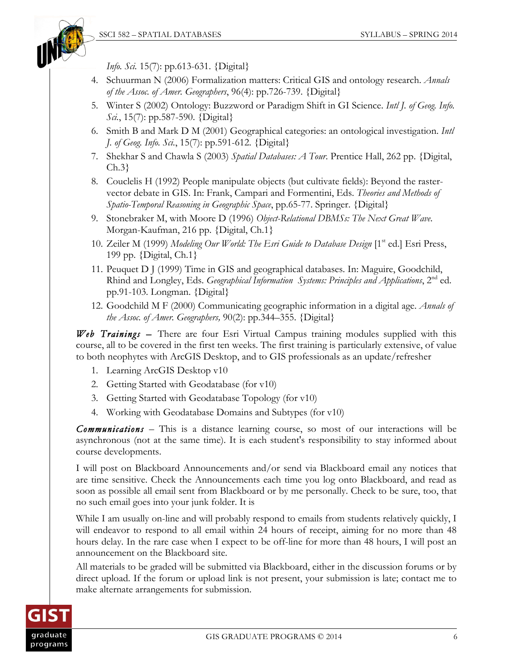*Info. Sci.* 15(7): pp*.*613-631. {Digital}

- 4. Schuurman N (2006) Formalization matters: Critical GIS and ontology research. *Annals of the Assoc. of Amer. Geographers*, 96(4): pp.726-739. {Digital}
- 5. Winter S (2002) Ontology: Buzzword or Paradigm Shift in GI Science. *Intl J. of Geog. Info. Sci.*, 15(7): pp.587-590. {Digital}
- 6. Smith B and Mark D M (2001) Geographical categories: an ontological investigation. *Intl J. of Geog. Info. Sci.*, 15(7): pp.591-612. {Digital}
- 7. Shekhar S and Chawla S (2003) *Spatial Databases: A Tour*. Prentice Hall, 262 pp. {Digital, Ch.3}
- 8. Couclelis H (1992) People manipulate objects (but cultivate fields): Beyond the rastervector debate in GIS. In: Frank, Campari and Formentini, Eds. *Theories and Methods of Spatio-Temporal Reasoning in Geographic Space*, pp.65-77. Springer. {Digital}
- 9. Stonebraker M, with Moore D (1996) *Object-Relational DBMSs: The Next Great Wave*. Morgan-Kaufman, 216 pp. {Digital, Ch.1}
- 10. Zeiler M (1999) *Modeling Our World: The Esri Guide to Database Design* [1<sup>st</sup> ed.] Esri Press, 199 pp. {Digital, Ch.1}
- 11. Peuquet D J (1999) Time in GIS and geographical databases. In: Maguire, Goodchild, Rhind and Longley, Eds. *Geographical Information Systems: Principles and Applications*, 2nd ed. pp.91-103. Longman. {Digital}
- 12. Goodchild M F (2000) Communicating geographic information in a digital age. *Annals of the Assoc. of Amer. Geographers,* 90(2): pp.344–355. {Digital}

*Web Trainings –* There are four Esri Virtual Campus training modules supplied with this course, all to be covered in the first ten weeks. The first training is particularly extensive, of value to both neophytes with ArcGIS Desktop, and to GIS professionals as an update/refresher

- 1. Learning ArcGIS Desktop v10
- 2. Getting Started with Geodatabase (for v10)
- 3. Getting Started with Geodatabase Topology (for v10)
- 4. Working with Geodatabase Domains and Subtypes (for v10)

*Communications* – This is a distance learning course, so most of our interactions will be asynchronous (not at the same time). It is each student's responsibility to stay informed about course developments.

I will post on Blackboard Announcements and/or send via Blackboard email any notices that are time sensitive. Check the Announcements each time you log onto Blackboard, and read as soon as possible all email sent from Blackboard or by me personally. Check to be sure, too, that no such email goes into your junk folder. It is

While I am usually on-line and will probably respond to emails from students relatively quickly, I will endeavor to respond to all email within 24 hours of receipt, aiming for no more than 48 hours delay. In the rare case when I expect to be off-line for more than 48 hours, I will post an announcement on the Blackboard site.

All materials to be graded will be submitted via Blackboard, either in the discussion forums or by direct upload. If the forum or upload link is not present, your submission is late; contact me to make alternate arrangements for submission.

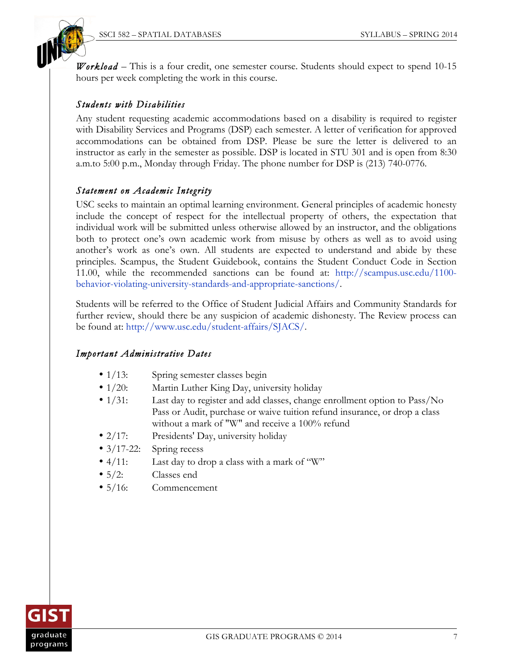

*Workload* – This is a four credit, one semester course. Students should expect to spend 10-15 hours per week completing the work in this course.

### *Students with Disabilities*

Any student requesting academic accommodations based on a disability is required to register with Disability Services and Programs (DSP) each semester. A letter of verification for approved accommodations can be obtained from DSP. Please be sure the letter is delivered to an instructor as early in the semester as possible. DSP is located in STU 301 and is open from 8:30 a.m.to 5:00 p.m., Monday through Friday. The phone number for DSP is (213) 740-0776.

#### *Statement on Academic Integrity*

USC seeks to maintain an optimal learning environment. General principles of academic honesty include the concept of respect for the intellectual property of others, the expectation that individual work will be submitted unless otherwise allowed by an instructor, and the obligations both to protect one's own academic work from misuse by others as well as to avoid using another's work as one's own. All students are expected to understand and abide by these principles. Scampus, the Student Guidebook, contains the Student Conduct Code in Section 11.00, while the recommended sanctions can be found at: http://scampus.usc.edu/1100 behavior-violating-university-standards-and-appropriate-sanctions/.

Students will be referred to the Office of Student Judicial Affairs and Community Standards for further review, should there be any suspicion of academic dishonesty. The Review process can be found at: http://www.usc.edu/student-affairs/SJACS/.

#### *Important Administrative Dates*

- 1/13: Spring semester classes begin
- 1/20: Martin Luther King Day, university holiday
- 1/31: Last day to register and add classes, change enrollment option to Pass/No Pass or Audit, purchase or waive tuition refund insurance, or drop a class without a mark of "W" and receive a 100% refund
- 2/17: Presidents' Day, university holiday
- 3/17-22: Spring recess
- 4/11: Last day to drop a class with a mark of "W"
- 5/2: Classes end
- 5/16: Commencement